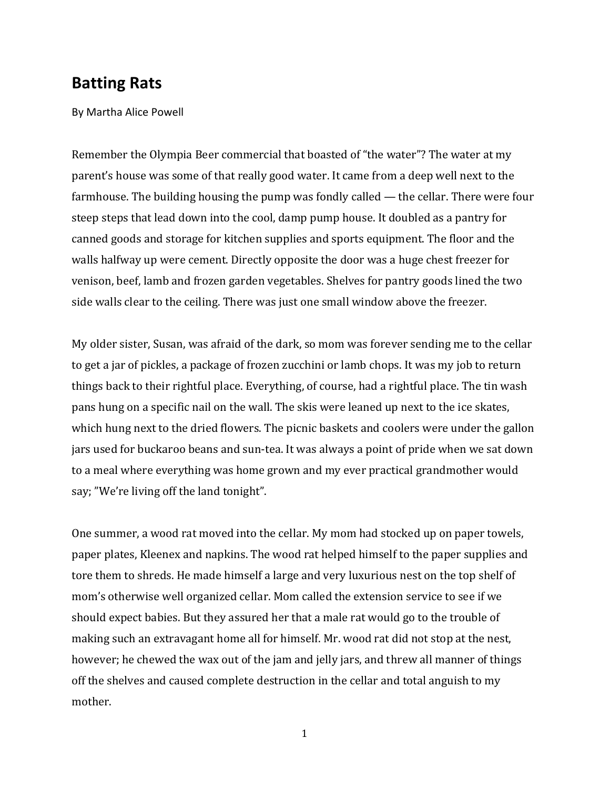## **Batting Rats**

By Martha Alice Powell

Remember the Olympia Beer commercial that boasted of "the water"? The water at my parent's house was some of that really good water. It came from a deep well next to the farmhouse. The building housing the pump was fondly called — the cellar. There were four steep steps that lead down into the cool, damp pump house. It doubled as a pantry for canned goods and storage for kitchen supplies and sports equipment. The floor and the walls halfway up were cement. Directly opposite the door was a huge chest freezer for venison, beef, lamb and frozen garden vegetables. Shelves for pantry goods lined the two side walls clear to the ceiling. There was just one small window above the freezer.

My older sister, Susan, was afraid of the dark, so mom was forever sending me to the cellar to get a jar of pickles, a package of frozen zucchini or lamb chops. It was my job to return things back to their rightful place. Everything, of course, had a rightful place. The tin wash pans hung on a specific nail on the wall. The skis were leaned up next to the ice skates, which hung next to the dried flowers. The picnic baskets and coolers were under the gallon jars used for buckaroo beans and sun‐tea. It was always a point of pride when we sat down to a meal where everything was home grown and my ever practical grandmother would say; "We're living off the land tonight".

One summer, a wood rat moved into the cellar. My mom had stocked up on paper towels, paper plates, Kleenex and napkins. The wood rat helped himself to the paper supplies and tore them to shreds. He made himself a large and very luxurious nest on the top shelf of mom's otherwise well organized cellar. Mom called the extension service to see if we should expect babies. But they assured her that a male rat would go to the trouble of making such an extravagant home all for himself. Mr. wood rat did not stop at the nest, however; he chewed the wax out of the jam and jelly jars, and threw all manner of things off the shelves and caused complete destruction in the cellar and total anguish to my mother.

<sup>1</sup>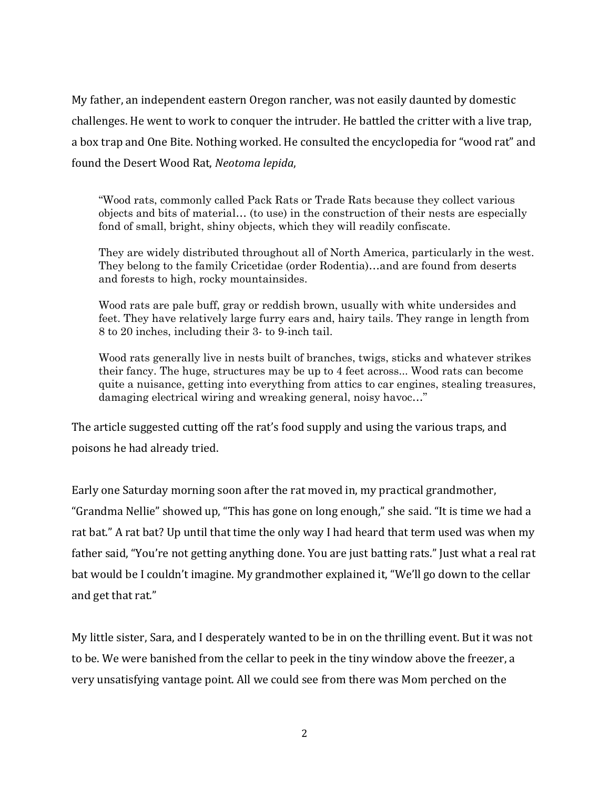My father, an independent eastern Oregon rancher, was not easily daunted by domestic challenges. He went to work to conquer the intruder. He battled the critter with a live trap, a box trap and One Bite. Nothing worked. He consulted the encyclopedia for "wood rat" and found the Desert Wood Rat, *Neotoma lepida*,

"Wood rats, commonly called Pack Rats or Trade Rats because they collect various objects and bits of material… (to use) in the construction of their nests are especially fond of small, bright, shiny objects, which they will readily confiscate.

They are widely distributed throughout all of North America, particularly in the west. They belong to the family Cricetidae (order Rodentia)…and are found from deserts and forests to high, rocky mountainsides.

Wood rats are pale buff, gray or reddish brown, usually with white undersides and feet. They have relatively large furry ears and, hairy tails. They range in length from 8 to 20 inches, including their 3- to 9-inch tail.

Wood rats generally live in nests built of branches, twigs, sticks and whatever strikes their fancy. The huge, structures may be up to 4 feet across... Wood rats can become quite a nuisance, getting into everything from attics to car engines, stealing treasures, damaging electrical wiring and wreaking general, noisy havoc…"

The article suggested cutting off the rat's food supply and using the various traps, and poisons he had already tried.

Early one Saturday morning soon after the rat moved in, my practical grandmother, "Grandma Nellie" showed up, "This has gone on long enough," she said. "It is time we had a rat bat." A rat bat? Up until that time the only way I had heard that term used was when my father said, "You're not getting anything done. You are just batting rats." Just what a real rat bat would be I couldn't imagine. My grandmother explained it, "We'll go down to the cellar and get that rat."

My little sister, Sara, and I desperately wanted to be in on the thrilling event. But it was not to be. We were banished from the cellar to peek in the tiny window above the freezer, a very unsatisfying vantage point. All we could see from there was Mom perched on the